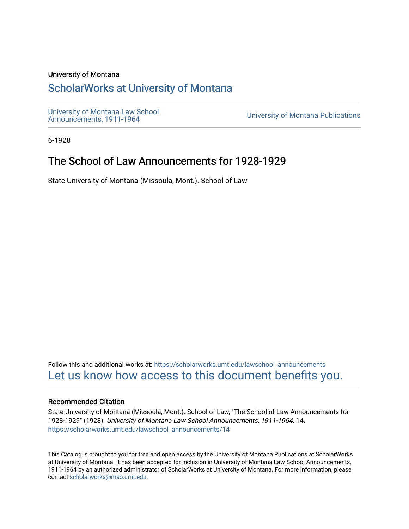# University of Montana

# [ScholarWorks at University of Montana](https://scholarworks.umt.edu/)

[University of Montana Law School](https://scholarworks.umt.edu/lawschool_announcements)<br>Announcements, 1911-1964

**University of Montana Publications** 

6-1928

# The School of Law Announcements for 1928-1929

State University of Montana (Missoula, Mont.). School of Law

Follow this and additional works at: [https://scholarworks.umt.edu/lawschool\\_announcements](https://scholarworks.umt.edu/lawschool_announcements?utm_source=scholarworks.umt.edu%2Flawschool_announcements%2F14&utm_medium=PDF&utm_campaign=PDFCoverPages)  [Let us know how access to this document benefits you.](https://goo.gl/forms/s2rGfXOLzz71qgsB2) 

# Recommended Citation

State University of Montana (Missoula, Mont.). School of Law, "The School of Law Announcements for 1928-1929" (1928). University of Montana Law School Announcements, 1911-1964. 14. [https://scholarworks.umt.edu/lawschool\\_announcements/14](https://scholarworks.umt.edu/lawschool_announcements/14?utm_source=scholarworks.umt.edu%2Flawschool_announcements%2F14&utm_medium=PDF&utm_campaign=PDFCoverPages)

This Catalog is brought to you for free and open access by the University of Montana Publications at ScholarWorks at University of Montana. It has been accepted for inclusion in University of Montana Law School Announcements, 1911-1964 by an authorized administrator of ScholarWorks at University of Montana. For more information, please contact [scholarworks@mso.umt.edu](mailto:scholarworks@mso.umt.edu).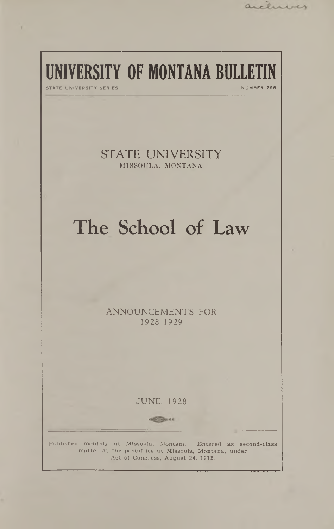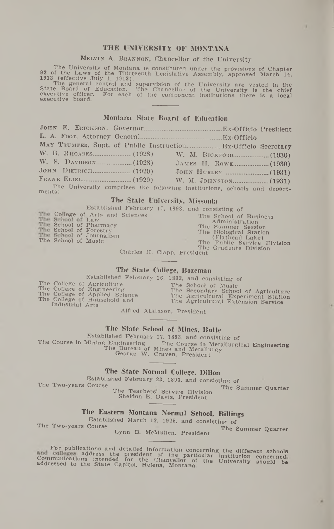## **THE UNIVERSITY OF MONTANA**

# Melvin A. Brannon, Chancellor of the University

The University of Montana is constituted under the provisions of Chapter<br>92 of the Laws of the Thirteenth Legislative Assembly, approved March 14,<br>1913 (effective July 1, 1913).<br>The general control and supervision of the U

#### **Montana State Board of Education**

|        | FRANK ELIEL (1929) W. M. JOHNSTON (1931)                                 |
|--------|--------------------------------------------------------------------------|
| ments: | The University comprises the following institutions, schools and depart- |

# **The State University, Missoula**

| The School of Law<br>The School of Music | The College of Arts and Sciences<br>The School of Pharmacy<br>The School of Forestry<br>The School of Journalism |  | Established February 17, 1893, and consisting of | The School of Business<br>Administration<br>The Summer Session<br>The Biological Station<br>(Flathead Lake) |                             |  |
|------------------------------------------|------------------------------------------------------------------------------------------------------------------|--|--------------------------------------------------|-------------------------------------------------------------------------------------------------------------|-----------------------------|--|
|                                          |                                                                                                                  |  | Charles H. Clapp, President                      | The Graduate Division                                                                                       | The Public Service Division |  |

# **The State College, Bozeman**

**Established February 16, 1893, and consisting of The College of Agriculture The The College of Engineering The The College of Applied Science The The College of Household and The Industrial Arts School of Music Secondary School of Agriculture Agricultural Experiment Station Agricultural Extension Service**

**Alfred Atkinson, President**

# **The State School of Mines, Butte**

**Established February 17, 1893, and consisting of The Course in Mining Engineering The Course in Metallurgical Engineering The Bureau of Mines and Metallurgy George W . Craven, President**

**The State Normal College, Dillon**

The Two-years Course **Established February 23, 1893. and consisting of**

**The Summer Quarter** 

٠

٠

**The Teachers Service Division Sheldon E. Davis, President**

# **The Eastern Montana Normal School, Billings**

**Established March 12, 1925, and consisting of**<br>The Two-years Course

The Summer Quarter **Lynn B. McMullen, President**

For publications and detailed information concerning the different schools<br>communications address the president of the particular institution concerned<br>Communications intended for the Cancellor of the University should be<br>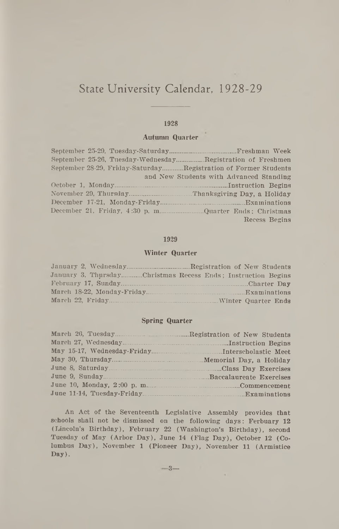# State University Calendar, 1928-29

# 1938

# **Autumn Quarter**

| September 25-26, Tuesday-WednesdayRegistration of Freshmen      |                                         |
|-----------------------------------------------------------------|-----------------------------------------|
| September 28-29, Friday-SaturdayRegistration of Former Students |                                         |
|                                                                 | and New Students with Advanced Standing |
|                                                                 |                                         |
|                                                                 |                                         |
| December 17-21, Monday-Friday.                                  | Examinations                            |
|                                                                 |                                         |
|                                                                 | Recess Begins                           |

#### 1929

## **Winter Quarter**

| January 3, ThursdayChristmas Recess Ends; Instruction Begins |  |
|--------------------------------------------------------------|--|
|                                                              |  |
|                                                              |  |
|                                                              |  |

### **Spring Quarter**

An Act of the Seventeenth Legislative Assembly provides that schools shall not be dismissed on the following days: Ferbuary 12 (Lincoln's Birthday), February 22 (Washington's Birthday), second Tuesday of May (Arbor Day), June 14 (Flag Day), October 12 (Columbus Day), November 1 (Pioneer Day), November 11 (Armistice Day).

 $-3-$ 

×.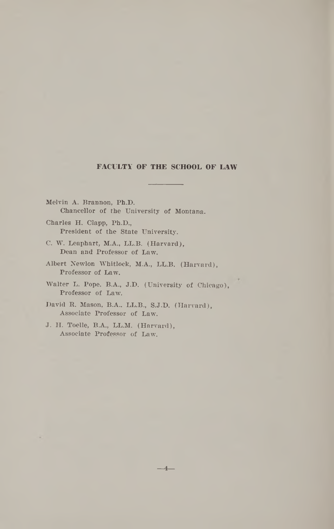# **FACULTY OF THE SCHOOL OF LAW**

 $-25$ 

 $-4$ 

- Melvin A. Brannon, Ph.D. Chancellor of the University of Montana.
- Charles H. Clapp, Ph.D., President of the State University.
- C. W. Leaphart, M.A., LL.B. (Harvard), Dean and Professor of Law.
- Albert Newlon Whitlock, M.A., LL.B. (Harvard), Professor of Law.
- Walter L. Pope, B.A., J.D. (University of Chicago), Professor of Law.
- David B. Mason, B.A., LL.B., S.J.D. (Harvard), Associate Professor of Law.
- J. H. Toelle, B.A., LL.M. (Harvard), Associate Professor of Law.

×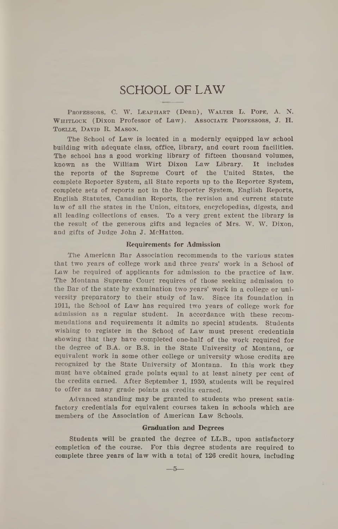# SCHOOL OF LAW

PROFESSORS, C. W. LEAPHART (Dean), WALTER L. POPE, A. N. WHITLOCK (Dixon Professor of Law). ASSOCIATE PROFESSORS, J. H. TOELLE, DAVID R. MASON.

The School of Law is located in a modernly equipped law school building with adequate class, office, library, and court room facilities. The school has a good working library of fifteen thousand volumes, known as the William Wirt Dixon Law Library. It includes the reports of the Supreme Court of the United States, the complete Reporter System, all State reports up to the Reporter System, complete sets of reports not in the Reporter System, English Reports, English Statutes, Canadian Reports, the revision and current statute law of all the states in the Union, citators, encyclopedias, digests, and all leading collections of cases. To a very great extent the library is the result of the generous gifts and legacies of Mrs. W. W. Dixon, and gifts of Judge John J. McHatton.

#### **Requirements for Admission**

The American Bar Association recommends to the various states that two years of college work and three years' work in a School of Law be required of applicants for admission to the practice of law. The Montana Supreme Court requires of those seeking admission to the Bar of the state by examination two years' work in a college or university preparatory to their study of law. Since its foundation in 1911, the School of Law has required two years of college work for admission as a regular student. In accordance with these recommendations and requirements it admits no special students. Students wishing to register in the School of Law must present credentials showing that they have completed one-half of the work required for the degree of B.A. or B.S. in the State University of Montana, or equivalent work in some other college or university whose credits are recognized by the State University of Montana. In this work they must have obtained grade points equal to at least ninety per cent of the credits earned. After September 1, 1930, students will be required to offer as many grade points as credits earned.

Advanced standing may be granted to students who present satisfactory credentials for equivalent courses taken in schools which are members of the Association of American Law Schools.

### **Graduation and Degrees**

Students will be granted the degree of LL.B., upon satisfactory completion of the course. For this degree students are required to complete three years of law with a total of 126 credit hours, including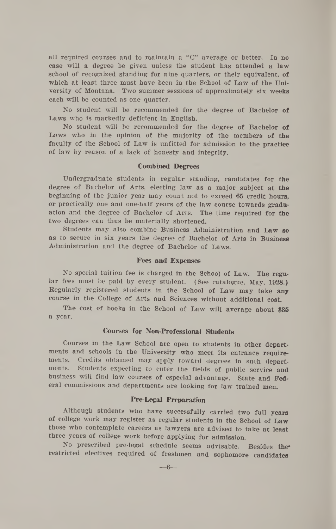all required courses and to maintain a "C" average or better. In no case will a degree be given unless the student has attended a law school of recognized standing for nine quarters, or their equivalent, of which at least three must have been in the School of Law of the University of Montana. Two summer sessions of approximately six weeks each will be counted as one quarter.

No student will be recommended for the degree of Bachelor **of** Laws who is markedly deficient in English.

No student will be recommended for the degree of Bachelor **of** Laws who in the opinion of the majority of the members of the faculty of the School of Law is unfitted for admission to the practice of law by reason of a lack of honesty and integrity.

#### **Combined Degrees**

Undergraduate students in regular standing, candidates for the degree of Bachelor of Arts, electing law as a major subject at the beginning of the junior year may count not to exceed 65 credit hours. or practically one and one-half years of the law course towards graduation and the degree of Bachelor of Arts. The time required for the two degrees can thus be materially shortened.

Students may also combine Business Administration and Law so as to secure in six years the degree of Bachelor of Arts in Business Administration and the degree of Bachelor of Laws.

#### **Fees and Expenses**

No special tuition fee is charged in the School of Law. The regular fees must be paid by every student. (See catalogue, May, 1928.) Regularly registered students in the School of Law may take any course in the College of Arts and Sciences without additional cost.

The cost of books in the School of Law will average about \$35 a year.

# **Courses for Non-Professional Students**

Courses in the Law School are open to students in other departments and schools in the University who meet its entrance requirements. Credits obtained may apply toward degrees in such departments. Students expecting to enter the fields of public service and business will find law courses of especial advantage. State and Federal commissions and departments are looking for law trained men.

# **Pro-Legal Preparation**

Although students who have successfully carried two full years of college work may register as regular students in the School of Law those who contemplate careers as lawyers are advised to take at least three years of college work before applying for admission.

No prescribed pre-legal schedule seems advisable. Besides the restricted electives required of freshmen and sophomore candidates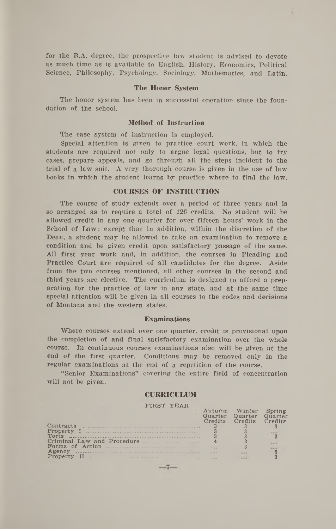for the B.A. degree, the prospective law student is advised to devote as much time as is available to English, History, Economics, Political Science, Philosophy, Psychology, Sociology, Mathematics, and Latin.

#### **The Honor System**

The honor system has been in successful operation since the foundation of the school.

### **Method of Instruction**

The ease system of instruction is employed.

Special attention is given to practice court work, in which the students are required not only to argue legal questions, but to try cases, prepare appeals, and go through all the steps incident to the trial of a law suit. A very thorough course is given in the use of law books in which the student learns by practice where to find the law.

## **COURSES OF INSTRUCTION**

The course of study extends over a period of three years and is so arranged as to require a total of 126 credits. No student will be allowed credit in any one quarter for over fifteen hours' work in the School of Law; except that in addition, within the discretion of the Dean, a student may be allowed to take an examination to remove a condition and be given credit upon satisfactory passage of the same. All first year work and, in addition, the courses in Pleading and Practice Court are required of all candidates for the degree. Aside from the two courses mentioned, all other courses in the second and third years are elective. The curriculum is designed to afford a preparation for the practice of law in any state, and at the same time special attention will be given in all courses to the codes and decisions of Montana and the western states.

#### **Examinations**

Where courses extend over one quarter, credit is provisional upon the completion of and final satisfactory examination over the whole course. In continuous courses examinations also will be given at the end of the first quarter. Conditions may be removed only in the regular examinations at the end of a repetition of the course.

" Senior Examinations" covering the entire field of concentration will not be given.

#### **CURRICULUM**

**FIRST YEAR**

| Contracts | Quarter<br><b>Credits</b> | Winter<br>Quarter<br>Credits | ng<br>arter<br>Credits |
|-----------|---------------------------|------------------------------|------------------------|
| Property  |                           |                              | <b>HERE'S</b>          |
| Forms of  |                           |                              | <b>MARINE</b>          |
|           | $7 - 7 - 8$               |                              | <b>HAFE</b>            |
| Agency    | <b>A</b> - - -            | <b>Address</b>               |                        |
| Property  | 0.088                     | <b>BARBARA</b>               |                        |

 $-7-$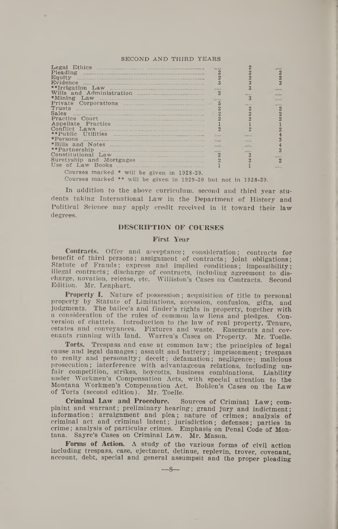#### SECOND AND THIRD YEARS

| Legal<br>Ethics                            |             |                       | ---                            |
|--------------------------------------------|-------------|-----------------------|--------------------------------|
| Pleading                                   |             |                       |                                |
| Equity                                     |             |                       |                                |
| Evidence                                   |             |                       |                                |
|                                            |             |                       | ---                            |
|                                            |             |                       |                                |
| *Mining Law                                |             |                       | <b>Brown as an</b>             |
|                                            | 5           |                       | 1919 1919                      |
| Trusts                                     |             |                       | <b>MA 64</b><br>$\overline{2}$ |
| Sales                                      |             |                       |                                |
| Practice Court                             |             |                       |                                |
|                                            |             |                       |                                |
| Conflict Laws                              |             |                       |                                |
|                                            |             |                       |                                |
| $*$ Public                                 | <b>List</b> | <b>ANTIN</b>          |                                |
| *Persons                                   | 11144       | <b>Sound</b>          |                                |
|                                            | Arrest &    | <b>With a country</b> |                                |
| **Partnership                              | ALC: N      | <b>With Street</b>    |                                |
| Constitutional Law                         |             |                       |                                |
|                                            |             |                       |                                |
| Use of Law Books                           |             |                       |                                |
| Courses marked * will be given in 1928-29. |             |                       |                                |

Courses marked \*\* will be given in 1929-30 but not in 1928-29.

In addition to the above curriculum, second and third year students taking International Law in the Department of History and Political Science may apply credit received in it toward their law degrees.

# **DESCRIPTION OF COURSES**

#### **First Year**

Contracts. Offer and acceptance; consideration; contracts for benefit of third persons; assignment of contracts; joint obligations; Statute of Frauds; express and implied conditions; impossibility; illegal contracts; discharge of contracts, including agreement to discharge, novation, release, etc. Williston's Cases on Contracts. Second Edition. Mr. Leaphart.

Property I. Nature of possession; acquisition of title to personal property by Statute of Limitations, accession, confusion, gifts, and judgments. The bailee's and finder's rights in property, together with a consideration of the rules of common law liens and pledges. Conversion of chattels. Introduction to the law of real property. Tenure, estates and conveyances. Fixtures and waste. Easements and covenants running with land. Warren's Cases on Property. Mr. Toelle.

Torts. Trespass and case at common law; the principles of legal cause and legal damages; assault and battery; imprisonment; trespass to realty and personalty; deceit; defamation; negligence; malicious prosecution; interference with advantageous relations, including unfair competition, strikes, boycotts, business combinations. Liability under Workmen's Compensation Acts, with special attention to the Montana Workmen's Compensation Act. Bohlen's Cases on the Law of Torts (second edition). Mr. Toelle.

Criminal Law and Procedure. Sources of Criminal Law: complaint and warrant; preliminary hearing; grand jury and indictment; information; arraignment and plea; nature of crimes; analysis of criminal act and criminal intent; jurisdiction; defenses; parties in crime; analysis of particular crimes. Emphasis on Penal Code of Montana. Sayre's Cases on Criminal Law. Mr. Mason.

Forms of Action. A study of the various forms of civil action including trespass, case, ejectment, detinue, replevin, trover, covenant, account, debt, special and general assumpsit and the proper pleading

 $-8-$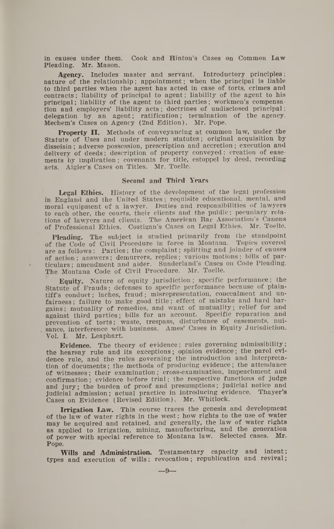in causes under them. Cook and Hinton's Cases on Common Law Pleading. Mr. Mason.

**Agency.** Includes master and servant. Introductory principles; nature of the relationship; appointment; when the principal is liable to third parties when the agent has acted in case of torts, crimes and contracts; liability of principal to agent; liability of the agent to his principal; liability of the agent to third parties; workmen's compensation and employers' liability acts; doctrines of undisclosed principal; delegation by an agent; ratification; termination of the agency. Mechem's Cases on Agency (2nd Edition). Mr. Pope.

**Property II.** Methods of conveyancing at common law, under the Statute of Uses and under modern statutes; original acquisition by disseisin; adverse possession, prescription and accretion; execution and delivery of deeds; description of property conveyed; creation of easements by implication; covenants for title, estoppel by deed, recording acts. Aigler's Cases on Titles. Mr. Toellc.

#### **Second and Third Years**

Legal Ethics. History of the development of the legal profession in England and the United States; requisite educational, mental, and moral equipment of a lawyer. Duties and responsibilities of lawyers to each other, the courts, their clients and the public; pecuniary relations of lawyers and clients. The American Bar Association's Canons of Professional Ethics. Costigan's Cases on Legal Ethics. Mr. Toelle.

Pleading. The subject is studied primarily from the standpoint of the Code of Civil Procedure in force in Montana. Topics covered are as follows: Parties; the complaint; splitting and joinder of causes of action; answers; demurrers, replies; various motions; bills of particulars ; amendment and aider. Sunderland's Cases on Code Pleading. The Montana Code of Civil Procedure. Mr. Toelle.

Equity. Nature of equity jurisdiction; specific performance; the Statute of Frauds; defenses to specific performance because of plaintiff's conduct; laches, fraud; misrepresentation, concealment and unfairness; failure to make good title; effect of mistake and hard bargains ; mutuality of remedies, and want of mutuality; relief for and against third parties; bills for an account. Specific reparation and prevention of torts; waste, trespass, disturbance of easements, nuisance, interference with business. Ames' Cases in Equity Jurisdiction. Yol. I. Mr. Leaphart.

**Evidence.** The theory of evidence; rules governing admissibility; the hearsay rule and its exceptions; opinion evidence; the parol evidence rule, and the rules governing the introduction and interpretation of documents; the methods of producing evidence; the attendance of witnesses; their examination; cross-examination, impeachment and confirmation; evidence before trial; the respective functions of judge and jury; the burden of proof and presumptions; judicial notice and judicial admission; actual practice in introducing evidence. Thayer's Cases on Evidence (Revised Edition). Mr. Whitlock.

**Irrigation** Law. This course traces the genesis and development of the law of water rights in the west; how rights to the use of water may be acquired and retained, and generally, the law of water rights as applied to irrigation, mining, manufacturing, and the generation of power with special reference to Montana law. Selected cases. Mr. Pope.

**Wills and Administration.** Testamentary capacity and intent; types and execution of w ills; revocation; republication and revival;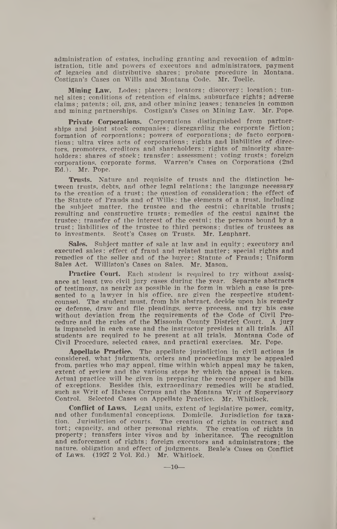administration of estates, including granting and revocation of administration, title and powers of executors and administrators, payment of legacies and distributive shares; probate procedure in Montana. Costigan's Cases on Wills and Montana Code. Mr. Toelle.

Mining Law. Lodes; placers; locators; discovery; location; tunnel sites; conditions of retention of claims, subsurface rights; adverse claims; patents; oil, gas, and other mining leases; tenancies in common and mining partnerships. Costigan's Cases on Mining Law. Mr. Pope.

Private Corporations. Corporations distinguished from partnerships and joint stock companies; disregarding the corporate fiction; formation of corporations; powers of corporations; de facto corporations ; ultra vires acts of corporations; rights and liabilities of directors, promoters, creditors and shareholders; rights of minority shareholders; shares of stock; transfer; assessment; voting trusts; foreign corporations, corporate forms. Warren's Cases on Corporations (2nd Ed.). Mr. Pope.

Trusts. Nature and requisite of trusts and the distinction between trusts, debts, and other legal relations; the language necessary to the creation of a trust; the question of consideration; the effect of the Statute of Frauds and of Wills; the elements of a trust, including the subject matter, the trustee and the cestui; charitable trusts; resulting and constructive trusts; remedies of the cestui against the trustee; transfer of the interest of the cestui; the persons bound by a trust; liabilities of the trustee to third persons; duties of trustees as to investments. Scott's Cases on Trusts. Mr. Leaphart.

Sales. Subject matter of sale at law and in equity; executory and executed sales; effect of fraud and related matter; special rights and remedies of the seller and of the buyer; Statute of Frauds; Uniform Sales Act. Williston's Cases on Sales. Mr. Mason.

Practice Court. Each student is required to try without assistance at least two civil jury cases during the year. Separate abstracts of testimony, as nearly as possible in the form in which a case is presented to a lawyer in his office, are given the respective studentcounsel. The student must, from his abstract, decide upon his remedy or defense, draw and file pleadings, serve process, and try his case without deviation from the requirements of the Code of Civil Procedure and the rules of the Missoula County District Court. A jury is impaneled in each case and the instructor presides at all trials. All students are required to be present at all trials. Montana Code of Civil Procedure, selected cases, and practical exercises. Mr. Pope.

Appellate Practice. The appellate jurisdiction in civil actions is considered, what judgments, orders and proceedings may be appealed from, parties who may appeal, time within which appeal may be taken, extent of review and the various steps by which the appeal is taken. Actual practice will be given in preparing the record proper and bills of exceptions. Besides this, extraordinary remedies will be studied, such as Writ of Habeas Corpus and the Montana Writ of Supervisory Control. Selected Cases on Appellate Practice. Mr. Whitlock.

Conflict of Laws. Legal units, extent of legislative power, comity, and other fundamental conceptions. Domicile. Jurisdiction for taxation. Jurisdiction of courts. The creation of rights in contract and tort; capacity, and other personal rights. The creation of rights in property; transfers inter vivos and by inheritance. The recognition and enforcement of rights; foreign executors and administrators; the nature, obligation and effect of judgments. Beale's Cases on Conflict of Laws. (1927 2 Vol. Ed.) Mr. Whitlock.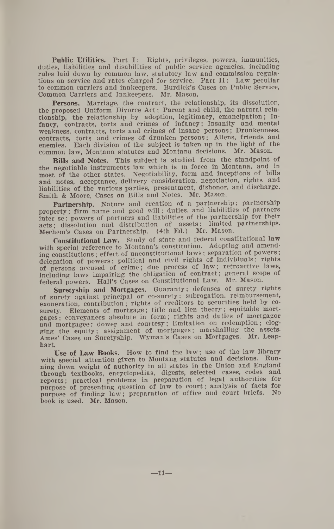Public Utilities. Part I: Rights, privileges, powers, immunities, duties, liabilities and disabilities of public service agencies, including rules laid down by common law, statutory law and commission regulations on service and rates charged for service. Part II: Law peculiar to common carriers and innkeepers. Burdick's Cases on Public Service, Common Carriers and Innkeepers. Mr. Mason.

**Persons.** Marriage, the contract, the relationship, its dissolution, the proposed Uniform Divorce Act; Parent and child, the natural relationship, the relationship by adoption, legitimacy, emancipation; Infancy, contracts, torts and crimes of infancy; Insanity and mental weakness, contracts, torts and crimes of insane persons; Drunkenness, contracts, torts and crimes of drunken persons; Aliens, friends and enemies. Each division of the subject is taken up in the light of the common law, Montana statutes and Montana decisions. Mr. Mason.

**Bills and Notes.** This subject is studied from the standpoint of the negotiable instruments law which is in force in Montana, and in most of the other states. Negotiability, form and inceptions of bills and notes, acceptance, delivery consideration, negotiation, rights and liabilities of the various parties, presentment, dishonor, and discharge. Smith & Moore, Cases on Bills and Notes. Mr. Mason.

Partnership. Nature and creation of a partnership; partnership property; firm name and good will; duties, and liabilities of partners inter se ; powers of partners and liabilities of the partnership for their acts; dissolution and distribution of assets; limited partnerships.<br>Mechem's Cases on Partnership. (4th Ed.) Mr. Mason. Mechem's Cases on Partnership. (4th Ed.)

**Constitutional Law.** Study of state and federal constitutional law with special reference to Montana's constitution. Adopting and amending constitutions; effect of unconstitutional laws; separation of powers; delegation of powers; political and civil rights of individuals; rights of persons accused of crime; due process of law; retroactive laws, including laws impairing the obligation of contract; general scope of federal powers. Hall's Cases on Constitutional Law. Mr. Mason.

**Suretyship** and **Mortgages.** Guaranty; defenses of surety rights of surety against principal or co-surety ; subrogation, reimbursement, exoneration, contribution; rights of creditors to securities held by cosurety. Elements of mortgage; title and lien theory; equitable mortgages ; conveyances absolute in form ; rights and duties of mortgagor and mortgagee; dower and courtesy; limitation on redemption; clogging the equity; assignment of mortgages; marshalling the assets. Ames' Cases on Suretyship. Wyman's Cases on Mortgages. Mr. Leap**hart.**

Use **of** Law **Books.** How to find the law ; use of the law library with special attention given to Montana statutes and decisions. Running down weight of authority in all states in the Union and England through textbooks, encyclopedias, digests, selected cases, codes and reports; practical problems in preparation of legal authorities for purpose of presenting question of law to court; analysis of facts for purpose of finding law ; preparation of office and court briefs. No book is used. Mr. Mason.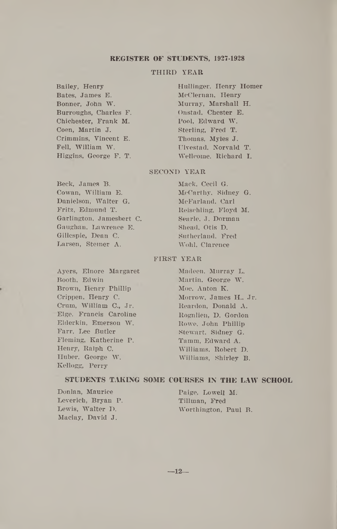#### **REGISTER OF STUDENTS, 1927-1928**

#### THIRD YEAR

Bailey, Henry Bates, James E. Bonner, John W. Burroughs, Charles F. Chichester, Frank M. Coen, Martin J. Crimmins, Vincent E. Fell, William W. Higgins, George F. T.

Hullinger, Henry Homer McClernan, Henry Murray, Marshall H. Onstad, Chester **E.** Pool, Edward W. Sterling, Fred T. Thomas, Myles J. Ulvestad, Norvald T. Wellcome, Richard I,

#### SECOND YEAR

Beck, James B. Cowan, William E. Danielson, Walter G. Fritz, Edmund T. Garlington, Jamesbert C. Gaughan, Lawrence E. Gillespie, Dean C. Larsen, Steiner A.

Mack, Cecil G. McCarthy, Sidney G. McFarland, Carl Reischling, Floyd M. Searle, J. Dorman Shead, Otis D. Sutherland, Fred Wohl, Clarence

#### FIRST YEAR

Ayers, Elnore Margaret Booth, Edwin Brown, Henry Phillip Crippen, Henry C. Crum, William C., Jr. Elge, Francis Caroline Elderkin, Emerson W. Farr, Lee Butler Fleming, Katherine P. Henry, Ralph C. Huber, George W. Kellogg, Perry

Madeen, Murray L. Martin, George W. Moe, Anton K. Morrow, James H., Jr. Reardon, Donald A. Rognlien, D. Gordon Rowe, John Phillip Stewart, Sidney G. Tamm, Edward A. Williams, Robert D. Williams, Shirley B.

#### **STUDENTS TAKING SOME COURSES IN THE LAW SCHOOL**

Donlan, Maurice Leverich, Bryan P. Lewis, Walter D. Maclay, David J.

Paige, Lowell M. Tillman, Fred Worthington, Paul B.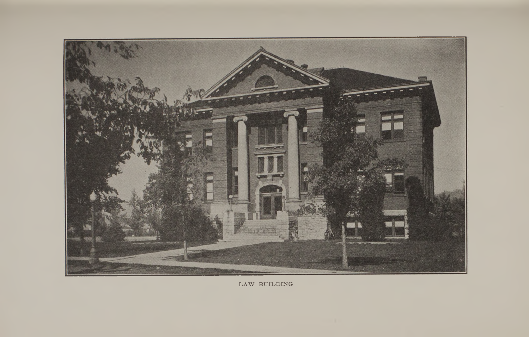

**L A W BUILDING**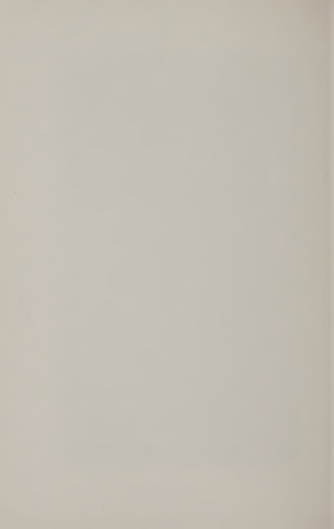